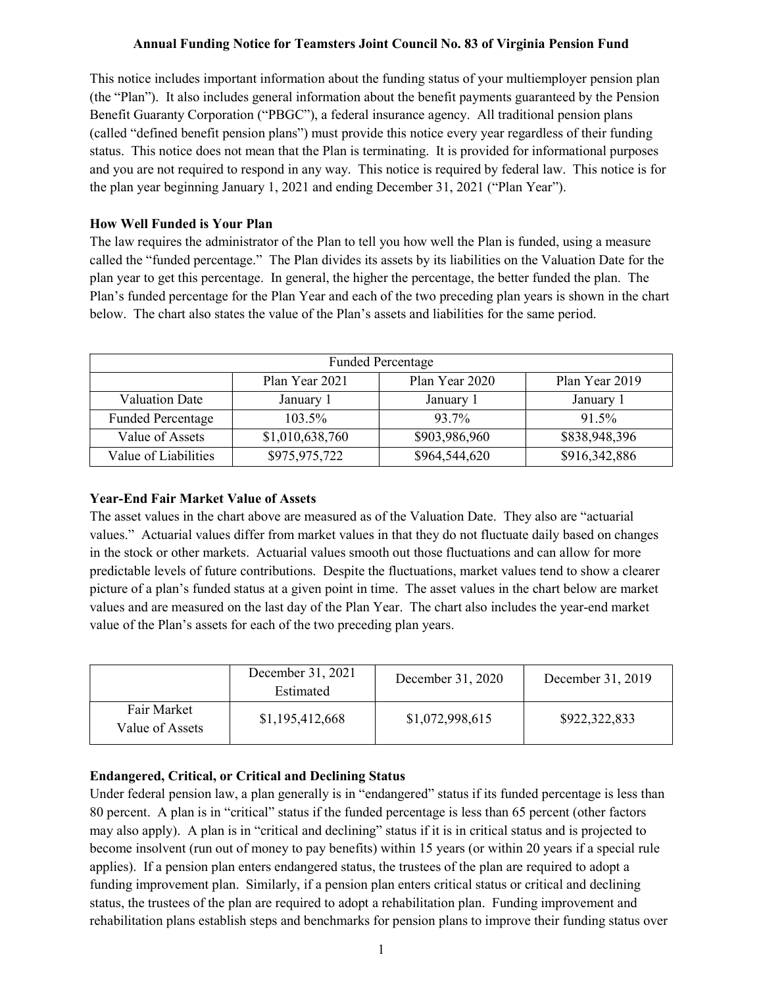# Annual Funding Notice for Teamsters Joint Council No. 83 of Virginia Pension Fund

This notice includes important information about the funding status of your multiemployer pension plan (the "Plan"). It also includes general information about the benefit payments guaranteed by the Pension Benefit Guaranty Corporation ("PBGC"), a federal insurance agency. All traditional pension plans (called "defined benefit pension plans") must provide this notice every year regardless of their funding status. This notice does not mean that the Plan is terminating. It is provided for informational purposes and you are not required to respond in any way. This notice is required by federal law. This notice is for the plan year beginning January 1, 2021 and ending December 31, 2021 ("Plan Year").

# How Well Funded is Your Plan

The law requires the administrator of the Plan to tell you how well the Plan is funded, using a measure called the "funded percentage." The Plan divides its assets by its liabilities on the Valuation Date for the plan year to get this percentage. In general, the higher the percentage, the better funded the plan. The Plan's funded percentage for the Plan Year and each of the two preceding plan years is shown in the chart below. The chart also states the value of the Plan's assets and liabilities for the same period.

| <b>Funded Percentage</b> |                 |                |                |  |
|--------------------------|-----------------|----------------|----------------|--|
|                          | Plan Year 2021  | Plan Year 2020 | Plan Year 2019 |  |
| <b>Valuation Date</b>    | January 1       | January 1      | January 1      |  |
| <b>Funded Percentage</b> | 103.5%          | 93.7%          | 91.5%          |  |
| Value of Assets          | \$1,010,638,760 | \$903,986,960  | \$838,948,396  |  |
| Value of Liabilities     | \$975,975,722   | \$964,544,620  | \$916,342,886  |  |

#### Year-End Fair Market Value of Assets

The asset values in the chart above are measured as of the Valuation Date. They also are "actuarial values." Actuarial values differ from market values in that they do not fluctuate daily based on changes in the stock or other markets. Actuarial values smooth out those fluctuations and can allow for more predictable levels of future contributions. Despite the fluctuations, market values tend to show a clearer picture of a plan's funded status at a given point in time. The asset values in the chart below are market values and are measured on the last day of the Plan Year. The chart also includes the year-end market value of the Plan's assets for each of the two preceding plan years.

|                                | December 31, 2021<br>Estimated | December 31, 2020 | December 31, 2019 |
|--------------------------------|--------------------------------|-------------------|-------------------|
| Fair Market<br>Value of Assets | \$1,195,412,668                | \$1,072,998,615   | \$922,322,833     |

#### Endangered, Critical, or Critical and Declining Status

Under federal pension law, a plan generally is in "endangered" status if its funded percentage is less than 80 percent. A plan is in "critical" status if the funded percentage is less than 65 percent (other factors may also apply). A plan is in "critical and declining" status if it is in critical status and is projected to become insolvent (run out of money to pay benefits) within 15 years (or within 20 years if a special rule applies). If a pension plan enters endangered status, the trustees of the plan are required to adopt a funding improvement plan. Similarly, if a pension plan enters critical status or critical and declining status, the trustees of the plan are required to adopt a rehabilitation plan. Funding improvement and rehabilitation plans establish steps and benchmarks for pension plans to improve their funding status over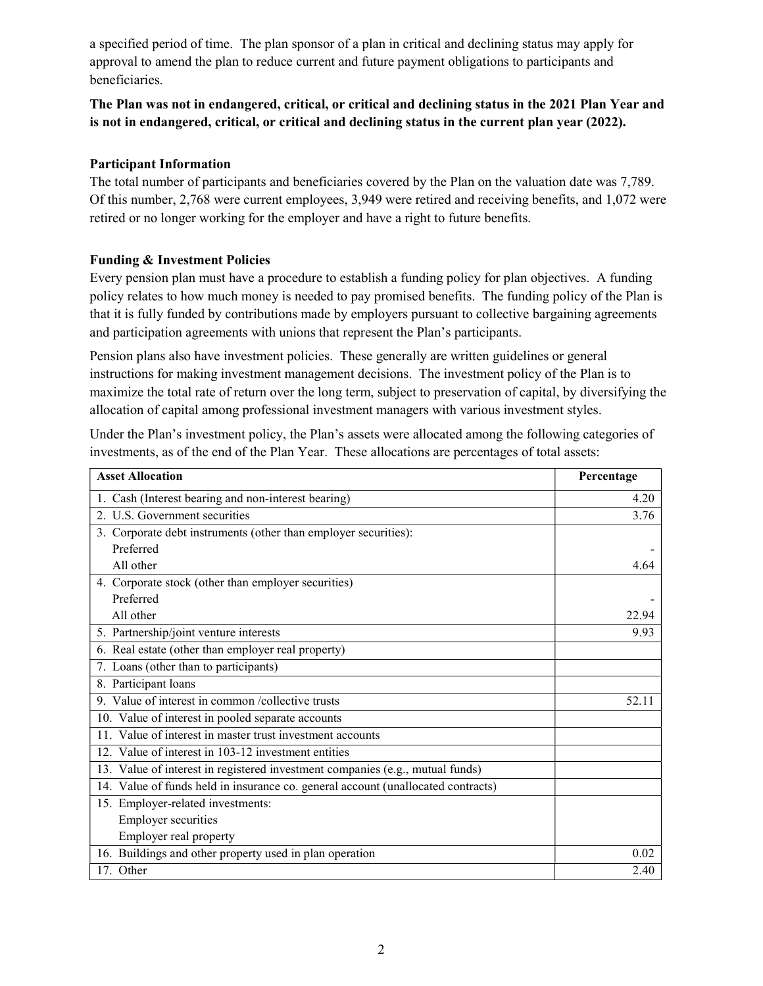a specified period of time. The plan sponsor of a plan in critical and declining status may apply for approval to amend the plan to reduce current and future payment obligations to participants and beneficiaries.

# The Plan was not in endangered, critical, or critical and declining status in the 2021 Plan Year and is not in endangered, critical, or critical and declining status in the current plan year (2022).

# Participant Information

The total number of participants and beneficiaries covered by the Plan on the valuation date was 7,789. Of this number, 2,768 were current employees, 3,949 were retired and receiving benefits, and 1,072 were retired or no longer working for the employer and have a right to future benefits.

# Funding & Investment Policies

Every pension plan must have a procedure to establish a funding policy for plan objectives. A funding policy relates to how much money is needed to pay promised benefits. The funding policy of the Plan is that it is fully funded by contributions made by employers pursuant to collective bargaining agreements and participation agreements with unions that represent the Plan's participants.

Pension plans also have investment policies. These generally are written guidelines or general instructions for making investment management decisions. The investment policy of the Plan is to maximize the total rate of return over the long term, subject to preservation of capital, by diversifying the allocation of capital among professional investment managers with various investment styles.

Under the Plan's investment policy, the Plan's assets were allocated among the following categories of investments, as of the end of the Plan Year. These allocations are percentages of total assets:

| <b>Asset Allocation</b>                                                          | Percentage |  |
|----------------------------------------------------------------------------------|------------|--|
| 1. Cash (Interest bearing and non-interest bearing)                              | 4.20       |  |
| 2. U.S. Government securities                                                    | 3.76       |  |
| 3. Corporate debt instruments (other than employer securities):                  |            |  |
| Preferred                                                                        |            |  |
| All other                                                                        | 4.64       |  |
| 4. Corporate stock (other than employer securities)                              |            |  |
| Preferred                                                                        |            |  |
| All other                                                                        | 22.94      |  |
| 5. Partnership/joint venture interests                                           | 9.93       |  |
| 6. Real estate (other than employer real property)                               |            |  |
| 7. Loans (other than to participants)                                            |            |  |
| 8. Participant loans                                                             |            |  |
| 9. Value of interest in common /collective trusts                                | 52.11      |  |
| 10. Value of interest in pooled separate accounts                                |            |  |
| 11. Value of interest in master trust investment accounts                        |            |  |
| 12. Value of interest in 103-12 investment entities                              |            |  |
| 13. Value of interest in registered investment companies (e.g., mutual funds)    |            |  |
| 14. Value of funds held in insurance co. general account (unallocated contracts) |            |  |
| 15. Employer-related investments:                                                |            |  |
| <b>Employer securities</b>                                                       |            |  |
| Employer real property                                                           |            |  |
| 16. Buildings and other property used in plan operation                          | 0.02       |  |
| 17. Other                                                                        | 2.40       |  |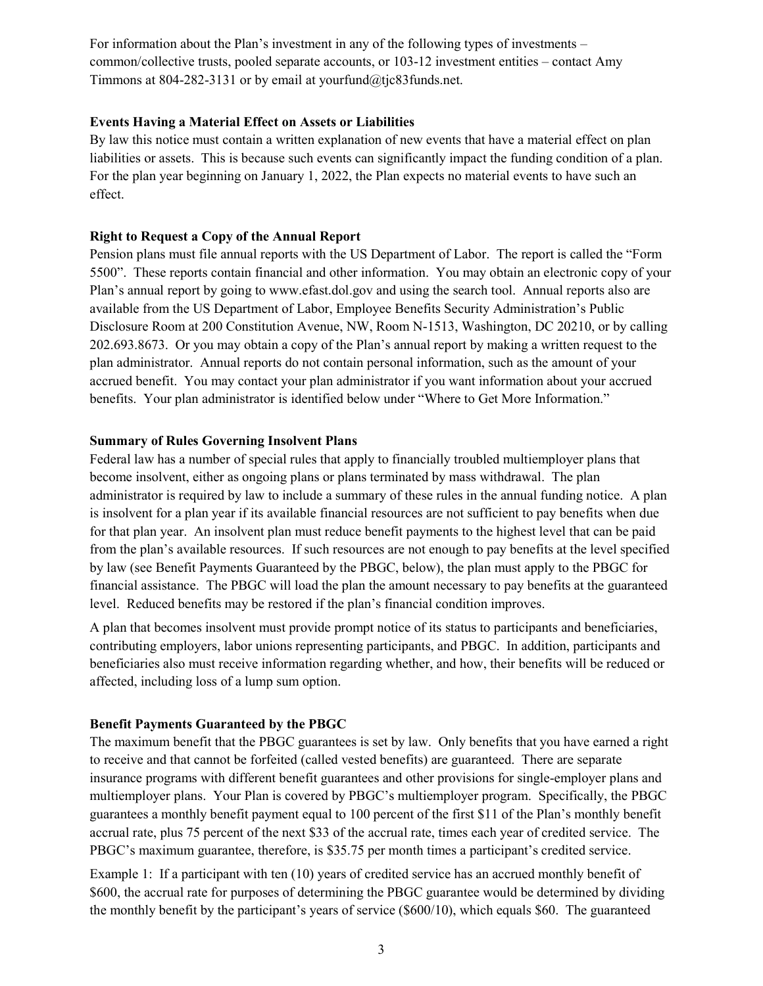For information about the Plan's investment in any of the following types of investments – common/collective trusts, pooled separate accounts, or 103-12 investment entities – contact Amy Timmons at 804-282-3131 or by email at yourfund@tjc83funds.net.

# Events Having a Material Effect on Assets or Liabilities

By law this notice must contain a written explanation of new events that have a material effect on plan liabilities or assets. This is because such events can significantly impact the funding condition of a plan. For the plan year beginning on January 1, 2022, the Plan expects no material events to have such an effect.

#### Right to Request a Copy of the Annual Report

Pension plans must file annual reports with the US Department of Labor. The report is called the "Form 5500". These reports contain financial and other information. You may obtain an electronic copy of your Plan's annual report by going to www.efast.dol.gov and using the search tool. Annual reports also are available from the US Department of Labor, Employee Benefits Security Administration's Public Disclosure Room at 200 Constitution Avenue, NW, Room N-1513, Washington, DC 20210, or by calling 202.693.8673. Or you may obtain a copy of the Plan's annual report by making a written request to the plan administrator. Annual reports do not contain personal information, such as the amount of your accrued benefit. You may contact your plan administrator if you want information about your accrued benefits. Your plan administrator is identified below under "Where to Get More Information."

#### Summary of Rules Governing Insolvent Plans

Federal law has a number of special rules that apply to financially troubled multiemployer plans that become insolvent, either as ongoing plans or plans terminated by mass withdrawal. The plan administrator is required by law to include a summary of these rules in the annual funding notice. A plan is insolvent for a plan year if its available financial resources are not sufficient to pay benefits when due for that plan year. An insolvent plan must reduce benefit payments to the highest level that can be paid from the plan's available resources. If such resources are not enough to pay benefits at the level specified by law (see Benefit Payments Guaranteed by the PBGC, below), the plan must apply to the PBGC for financial assistance. The PBGC will load the plan the amount necessary to pay benefits at the guaranteed level. Reduced benefits may be restored if the plan's financial condition improves.

A plan that becomes insolvent must provide prompt notice of its status to participants and beneficiaries, contributing employers, labor unions representing participants, and PBGC. In addition, participants and beneficiaries also must receive information regarding whether, and how, their benefits will be reduced or affected, including loss of a lump sum option.

#### Benefit Payments Guaranteed by the PBGC

The maximum benefit that the PBGC guarantees is set by law. Only benefits that you have earned a right to receive and that cannot be forfeited (called vested benefits) are guaranteed. There are separate insurance programs with different benefit guarantees and other provisions for single-employer plans and multiemployer plans. Your Plan is covered by PBGC's multiemployer program. Specifically, the PBGC guarantees a monthly benefit payment equal to 100 percent of the first \$11 of the Plan's monthly benefit accrual rate, plus 75 percent of the next \$33 of the accrual rate, times each year of credited service. The PBGC's maximum guarantee, therefore, is \$35.75 per month times a participant's credited service.

Example 1: If a participant with ten (10) years of credited service has an accrued monthly benefit of \$600, the accrual rate for purposes of determining the PBGC guarantee would be determined by dividing the monthly benefit by the participant's years of service (\$600/10), which equals \$60. The guaranteed